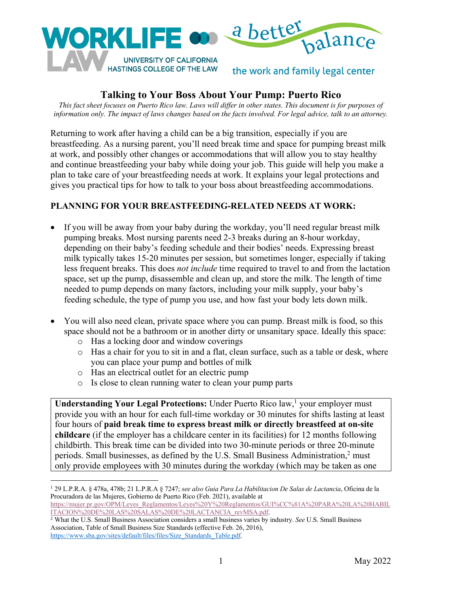

# **Talking to Your Boss About Your Pump: Puerto Rico**

*This fact sheet focuses on Puerto Rico law. Laws will differ in other states. This document is for purposes of information only. The impact of laws changes based on the facts involved. For legal advice, talk to an attorney.*

Returning to work after having a child can be a big transition, especially if you are breastfeeding. As a nursing parent, you'll need break time and space for pumping breast milk at work, and possibly other changes or accommodations that will allow you to stay healthy and continue breastfeeding your baby while doing your job. This guide will help you make a plan to take care of your breastfeeding needs at work. It explains your legal protections and gives you practical tips for how to talk to your boss about breastfeeding accommodations.

#### **PLANNING FOR YOUR BREASTFEEDING-RELATED NEEDS AT WORK:**

- If you will be away from your baby during the workday, you'll need regular breast milk pumping breaks. Most nursing parents need 2-3 breaks during an 8-hour workday, depending on their baby's feeding schedule and their bodies' needs. Expressing breast milk typically takes 15-20 minutes per session, but sometimes longer, especially if taking less frequent breaks. This does *not include* time required to travel to and from the lactation space, set up the pump, disassemble and clean up, and store the milk. The length of time needed to pump depends on many factors, including your milk supply, your baby's feeding schedule, the type of pump you use, and how fast your body lets down milk.
- You will also need clean, private space where you can pump. Breast milk is food, so this space should not be a bathroom or in another dirty or unsanitary space. Ideally this space:
	- o Has a locking door and window coverings
	- o Has a chair for you to sit in and a flat, clean surface, such as a table or desk, where you can place your pump and bottles of milk
	- o Has an electrical outlet for an electric pump
	- o Is close to clean running water to clean your pump parts

**Understanding Your Legal Protections:** Under Puerto Rico law, <sup>1</sup> your employer must provide you with an hour for each full-time workday or 30 minutes for shifts lasting at least four hours of **paid break time to express breast milk or directly breastfeed at on-site childcare** (if the employer has a childcare center in its facilities) for 12 months following childbirth. This break time can be divided into two 30-minute periods or three 20-minute periods. Small businesses, as defined by the U.S. Small Business Administration,<sup>2</sup> must only provide employees with 30 minutes during the workday (which may be taken as one

Association, Table of Small Business Size Standards (effective Feb. 26, 2016), https://www.sba.gov/sites/default/files/files/Size\_Standards\_Table.pdf.

<sup>1</sup> 29 L.P.R.A. § 478a, 478b; 21 L.P.R.A § 7247; *see also Guia Para La Habilitacion De Salas de Lactancia*, Oficina de la Procuradora de las Mujeres, Gobierno de Puerto Rico (Feb. 2021), available at https://mujer.pr.gov/OPM/Leyes\_Reglamentos/Leyes%20Y%20Reglamentos/GUI%CC%81A%20PARA%20LA%20HABIL

ITACION%20DE%20LAS%20SALAS%20DE%20LACTANCIA\_revMSA.pdf. 2 What the U.S. Small Business Association considers a small business varies by industry. *See* U.S. Small Business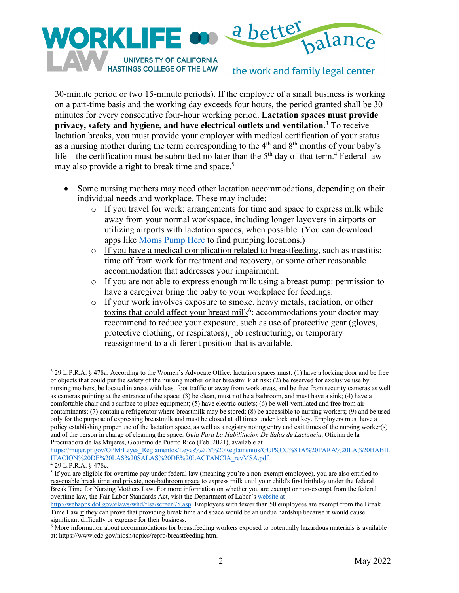

HASTINGS COLLEGE OF THE LAW

the work and family legal center

30-minute period or two 15-minute periods). If the employee of a small business is working on a part-time basis and the working day exceeds four hours, the period granted shall be 30 minutes for every consecutive four-hour working period. **Lactation spaces must provide privacy, safety and hygiene, and have electrical outlets and ventilation.3** To receive lactation breaks, you must provide your employer with medical certification of your status as a nursing mother during the term corresponding to the 4<sup>th</sup> and 8<sup>th</sup> months of your baby's life—the certification must be submitted no later than the  $5<sup>th</sup>$  day of that term.<sup>4</sup> Federal law may also provide a right to break time and space.<sup>5</sup>

- Some nursing mothers may need other lactation accommodations, depending on their individual needs and workplace. These may include:
	- o If you travel for work: arrangements for time and space to express milk while away from your normal workspace, including longer layovers in airports or utilizing airports with lactation spaces, when possible. (You can download apps like Moms Pump Here to find pumping locations.)
	- o If you have a medical complication related to breastfeeding, such as mastitis: time off from work for treatment and recovery, or some other reasonable accommodation that addresses your impairment.
	- o If you are not able to express enough milk using a breast pump: permission to have a caregiver bring the baby to your workplace for feedings.
	- o If your work involves exposure to smoke, heavy metals, radiation, or other toxins that could affect your breast milk<sup>6</sup>: accommodations your doctor may recommend to reduce your exposure, such as use of protective gear (gloves, protective clothing, or respirators), job restructuring, or temporary reassignment to a different position that is available.

https://mujer.pr.gov/OPM/Leyes\_Reglamentos/Leyes%20Y%20Reglamentos/GUI%CC%81A%20PARA%20LA%20HABIL ITACION%20DE%20LAS%20SALAS%20DE%20LACTANCIA\_revMSA.pdf.

<sup>3</sup> 29 L.P.R.A. § 478a. According to the Women's Advocate Office, lactation spaces must: (1) have a locking door and be free of objects that could put the safety of the nursing mother or her breastmilk at risk; (2) be reserved for exclusive use by nursing mothers, be located in areas with least foot traffic or away from work areas, and be free from security cameras as well as cameras pointing at the entrance of the space; (3) be clean, must not be a bathroom, and must have a sink; (4) have a comfortable chair and a surface to place equipment; (5) have electric outlets; (6) be well-ventilated and free from air contaminants; (7) contain a refrigerator where breastmilk may be stored; (8) be accessible to nursing workers; (9) and be used only for the purpose of expressing breastmilk and must be closed at all times under lock and key. Employers must have a policy establishing proper use of the lactation space, as well as a registry noting entry and exit times of the nursing worker(s) and of the person in charge of cleaning the space. *Guia Para La Habilitacion De Salas de Lactancia*, Oficina de la Procuradora de las Mujeres, Gobierno de Puerto Rico (Feb. 2021), available at

 $4$  29 L.P.R.A. § 478c.

<sup>&</sup>lt;sup>5</sup> If you are eligible for overtime pay under federal law (meaning you're a non-exempt employee), you are also entitled to reasonable break time and private, non-bathroom space to express milk until your child's first birthday under the federal Break Time for Nursing Mothers Law. For more information on whether you are exempt or non-exempt from the federal overtime law, the Fair Labor Standards Act, visit the Department of Labor's website at

http://webapps.dol.gov/elaws/whd/flsa/screen75.asp. Employers with fewer than 50 employees are exempt from the Break Time Law if they can prove that providing break time and space would be an undue hardship because it would cause significant difficulty or expense for their business.

 $6$  More information about accommodations for breastfeeding workers exposed to potentially hazardous materials is available at: https://www.cdc.gov/niosh/topics/repro/breastfeeding.htm.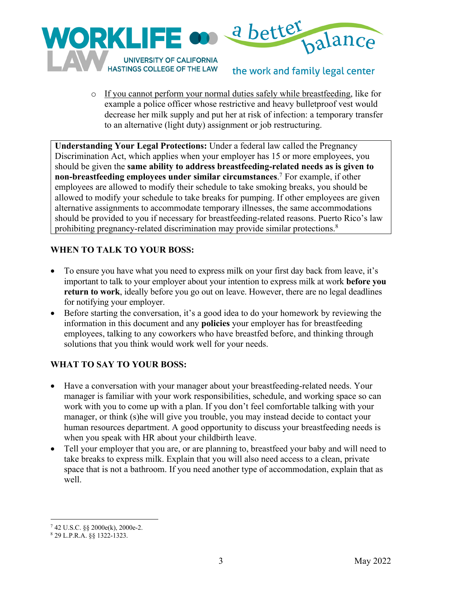

o If you cannot perform your normal duties safely while breastfeeding, like for example a police officer whose restrictive and heavy bulletproof vest would decrease her milk supply and put her at risk of infection: a temporary transfer to an alternative (light duty) assignment or job restructuring.

the work and family legal center

**Understanding Your Legal Protections:** Under a federal law called the Pregnancy Discrimination Act, which applies when your employer has 15 or more employees, you should be given the **same ability to address breastfeeding-related needs as is given to non-breastfeeding employees under similar circumstances**. <sup>7</sup> For example, if other employees are allowed to modify their schedule to take smoking breaks, you should be allowed to modify your schedule to take breaks for pumping. If other employees are given alternative assignments to accommodate temporary illnesses, the same accommodations should be provided to you if necessary for breastfeeding-related reasons. Puerto Rico's law prohibiting pregnancy-related discrimination may provide similar protections.<sup>8</sup>

### **WHEN TO TALK TO YOUR BOSS:**

- To ensure you have what you need to express milk on your first day back from leave, it's important to talk to your employer about your intention to express milk at work **before you return to work**, ideally before you go out on leave. However, there are no legal deadlines for notifying your employer.
- Before starting the conversation, it's a good idea to do your homework by reviewing the information in this document and any **policies** your employer has for breastfeeding employees, talking to any coworkers who have breastfed before, and thinking through solutions that you think would work well for your needs.

# **WHAT TO SAY TO YOUR BOSS:**

- Have a conversation with your manager about your breastfeeding-related needs. Your manager is familiar with your work responsibilities, schedule, and working space so can work with you to come up with a plan. If you don't feel comfortable talking with your manager, or think (s)he will give you trouble, you may instead decide to contact your human resources department. A good opportunity to discuss your breastfeeding needs is when you speak with HR about your childbirth leave.
- Tell your employer that you are, or are planning to, breastfeed your baby and will need to take breaks to express milk. Explain that you will also need access to a clean, private space that is not a bathroom. If you need another type of accommodation, explain that as well.

<sup>7</sup> 42 U.S.C. §§ 2000e(k), 2000e-2.

<sup>8</sup> 29 L.P.R.A. §§ 1322-1323.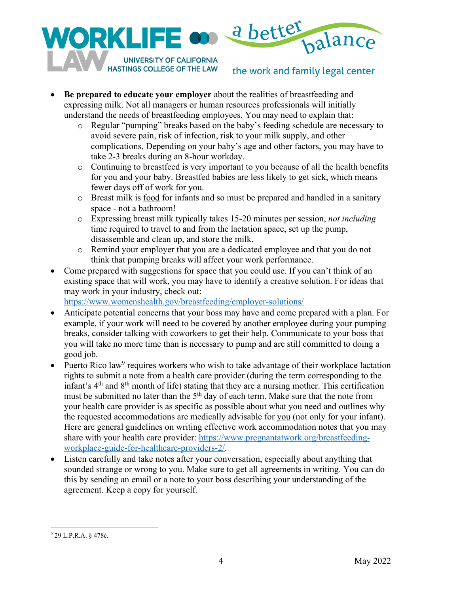

**HASTINGS COLLEGE OF THE LAW** 

# the work and family legal center

- **Be prepared to educate your employer** about the realities of breastfeeding and expressing milk. Not all managers or human resources professionals will initially understand the needs of breastfeeding employees. You may need to explain that:
	- o Regular "pumping" breaks based on the baby's feeding schedule are necessary to avoid severe pain, risk of infection, risk to your milk supply, and other complications. Depending on your baby's age and other factors, you may have to take 2-3 breaks during an 8-hour workday.
	- o Continuing to breastfeed is very important to you because of all the health benefits for you and your baby. Breastfed babies are less likely to get sick, which means fewer days off of work for you.
	- o Breast milk is food for infants and so must be prepared and handled in a sanitary space - not a bathroom!
	- o Expressing breast milk typically takes 15-20 minutes per session, *not including* time required to travel to and from the lactation space, set up the pump, disassemble and clean up, and store the milk.
	- o Remind your employer that you are a dedicated employee and that you do not think that pumping breaks will affect your work performance.
- Come prepared with suggestions for space that you could use. If you can't think of an existing space that will work, you may have to identify a creative solution. For ideas that may work in your industry, check out:

https://www.womenshealth.gov/breastfeeding/employer-solutions/

- Anticipate potential concerns that your boss may have and come prepared with a plan. For example, if your work will need to be covered by another employee during your pumping breaks, consider talking with coworkers to get their help. Communicate to your boss that you will take no more time than is necessary to pump and are still committed to doing a good job.
- Puerto Rico law<sup>9</sup> requires workers who wish to take advantage of their workplace lactation rights to submit a note from a health care provider (during the term corresponding to the infant's  $4<sup>th</sup>$  and  $8<sup>th</sup>$  month of life) stating that they are a nursing mother. This certification must be submitted no later than the 5<sup>th</sup> day of each term. Make sure that the note from your health care provider is as specific as possible about what you need and outlines why the requested accommodations are medically advisable for you (not only for your infant). Here are general guidelines on writing effective work accommodation notes that you may share with your health care provider: https://www.pregnantatwork.org/breastfeedingworkplace-guide-for-healthcare-providers-2/.
- Listen carefully and take notes after your conversation, especially about anything that sounded strange or wrong to you. Make sure to get all agreements in writing. You can do this by sending an email or a note to your boss describing your understanding of the agreement. Keep a copy for yourself.

<sup>9</sup> 29 L.P.R.A. § 478c.